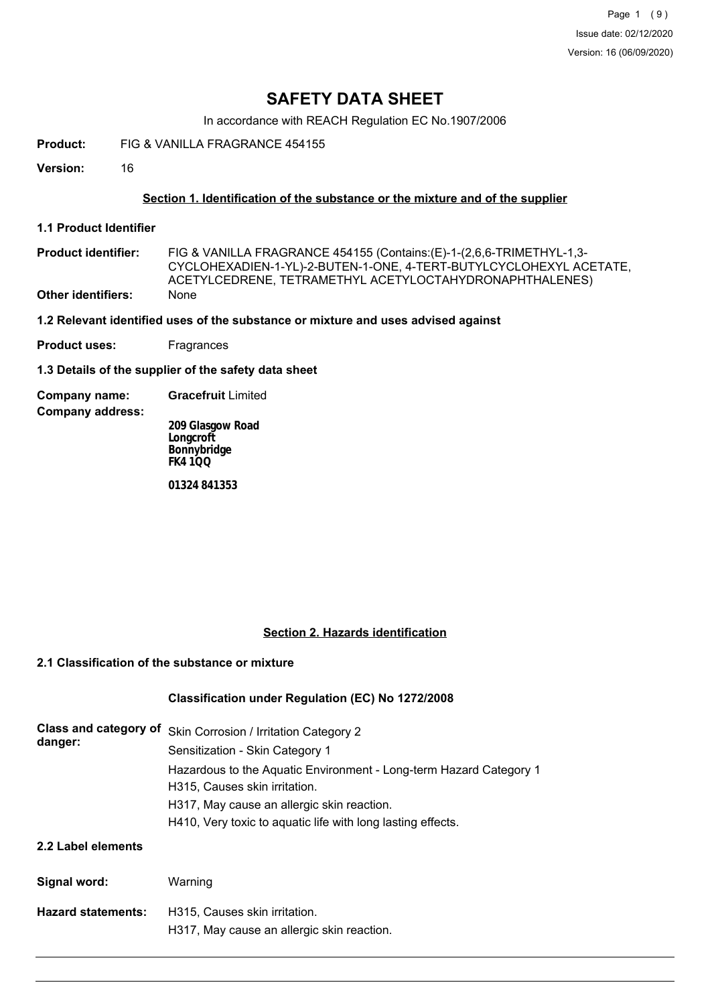In accordance with REACH Regulation EC No.1907/2006

**Product:** FIG & VANILLA FRAGRANCE 454155

**Version:** 16

## **Section 1. Identification of the substance or the mixture and of the supplier**

**1.1 Product Identifier**

FIG & VANILLA FRAGRANCE 454155 (Contains:(E)-1-(2,6,6-TRIMETHYL-1,3- CYCLOHEXADIEN-1-YL)-2-BUTEN-1-ONE, 4-TERT-BUTYLCYCLOHEXYL ACETATE, ACETYLCEDRENE, TETRAMETHYL ACETYLOCTAHYDRONAPHTHALENES) **Product identifier: Other identifiers:** None

### **1.2 Relevant identified uses of the substance or mixture and uses advised against**

**Product uses:** Fragrances

**1.3 Details of the supplier of the safety data sheet**

**Company name: Gracefruit** Limited

**Company address:**

**209 Glasgow Road Longcroft Bonnybridge FK4 1QQ**

**01324 841353**

## **Section 2. Hazards identification**

### **2.1 Classification of the substance or mixture**

# **Classification under Regulation (EC) No 1272/2008**

| Class and category of<br>danger: | Skin Corrosion / Irritation Category 2<br>Sensitization - Skin Category 1<br>Hazardous to the Aquatic Environment - Long-term Hazard Category 1<br>H315, Causes skin irritation.<br>H317, May cause an allergic skin reaction.<br>H410, Very toxic to aguatic life with long lasting effects. |
|----------------------------------|-----------------------------------------------------------------------------------------------------------------------------------------------------------------------------------------------------------------------------------------------------------------------------------------------|
| 2.2 Label elements               |                                                                                                                                                                                                                                                                                               |
| Signal word:                     | Warning                                                                                                                                                                                                                                                                                       |
| <b>Hazard statements:</b>        | H315. Causes skin irritation.<br>H317, May cause an allergic skin reaction.                                                                                                                                                                                                                   |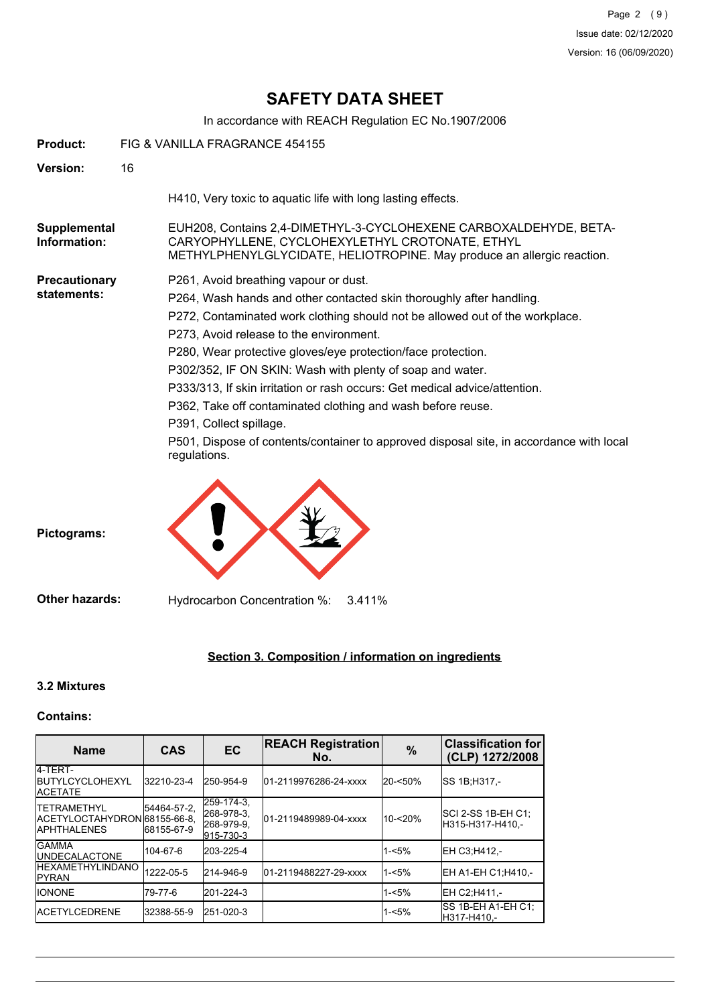In accordance with REACH Regulation EC No.1907/2006

| <b>Product:</b>                     | FIG & VANILLA FRAGRANCE 454155                                                                                                                                                                                                                                                                                                                                                                                                                                                                                                                                                                                                                           |
|-------------------------------------|----------------------------------------------------------------------------------------------------------------------------------------------------------------------------------------------------------------------------------------------------------------------------------------------------------------------------------------------------------------------------------------------------------------------------------------------------------------------------------------------------------------------------------------------------------------------------------------------------------------------------------------------------------|
| <b>Version:</b>                     | 16                                                                                                                                                                                                                                                                                                                                                                                                                                                                                                                                                                                                                                                       |
|                                     | H410, Very toxic to aquatic life with long lasting effects.                                                                                                                                                                                                                                                                                                                                                                                                                                                                                                                                                                                              |
| Supplemental<br>Information:        | EUH208, Contains 2,4-DIMETHYL-3-CYCLOHEXENE CARBOXALDEHYDE, BETA-<br>CARYOPHYLLENE, CYCLOHEXYLETHYL CROTONATE, ETHYL<br>METHYLPHENYLGLYCIDATE, HELIOTROPINE. May produce an allergic reaction.                                                                                                                                                                                                                                                                                                                                                                                                                                                           |
| <b>Precautionary</b><br>statements: | P261, Avoid breathing vapour or dust.<br>P264, Wash hands and other contacted skin thoroughly after handling.<br>P272, Contaminated work clothing should not be allowed out of the workplace.<br>P273, Avoid release to the environment.<br>P280, Wear protective gloves/eye protection/face protection.<br>P302/352, IF ON SKIN: Wash with plenty of soap and water.<br>P333/313, If skin irritation or rash occurs: Get medical advice/attention.<br>P362, Take off contaminated clothing and wash before reuse.<br>P391, Collect spillage.<br>P501, Dispose of contents/container to approved disposal site, in accordance with local<br>regulations. |
| Pictograms:                         |                                                                                                                                                                                                                                                                                                                                                                                                                                                                                                                                                                                                                                                          |

**Other hazards:** Hydrocarbon Concentration %: 3.411%

# **Section 3. Composition / information on ingredients**

## **3.2 Mixtures**

## **Contains:**

| <b>Name</b>                                                                | <b>CAS</b>                 | <b>EC</b>                                           | <b>REACH Registration</b><br>No. | $\frac{0}{0}$ | <b>Classification for</b><br>(CLP) 1272/2008 |
|----------------------------------------------------------------------------|----------------------------|-----------------------------------------------------|----------------------------------|---------------|----------------------------------------------|
| 4-TERT-<br><b>IBUTYLCYCLOHEXYL</b><br><b>ACETATE</b>                       | 32210-23-4                 | 250-954-9                                           | 01-2119976286-24-xxxx            | 20-<50%       | ISS 1B:H317.-                                |
| <b>ITETRAMETHYL</b><br>ACETYLOCTAHYDRON 68155-66-8.<br><b>IAPHTHALENES</b> | 54464-57-2,<br> 68155-67-9 | 259-174-3.<br>268-978-3.<br>268-979-9.<br>915-730-3 | 01-2119489989-04-xxxx            | 10-<20%       | SCI 2-SS 1B-EH C1:<br>H315-H317-H410.-       |
| <b>GAMMA</b><br><b>IUNDECALACTONE</b>                                      | 104-67-6                   | 203-225-4                                           |                                  | $1 - 5%$      | EH C3:H412.-                                 |
| <b>IHEXAMETHYLINDANO</b><br><b>IPYRAN</b>                                  | 1222-05-5                  | 214-946-9                                           | 01-2119488227-29-xxxx            | $1 - 5%$      | EH A1-EH C1:H410.-                           |
| <b>IIONONE</b>                                                             | 79-77-6                    | 201-224-3                                           |                                  | $1 - 5%$      | EH C2:H411.-                                 |
| <b>IACETYLCEDRENE</b>                                                      | 32388-55-9                 | 251-020-3                                           |                                  | $1 - 5%$      | SS 1B-EH A1-EH C1;<br>H317-H410.-            |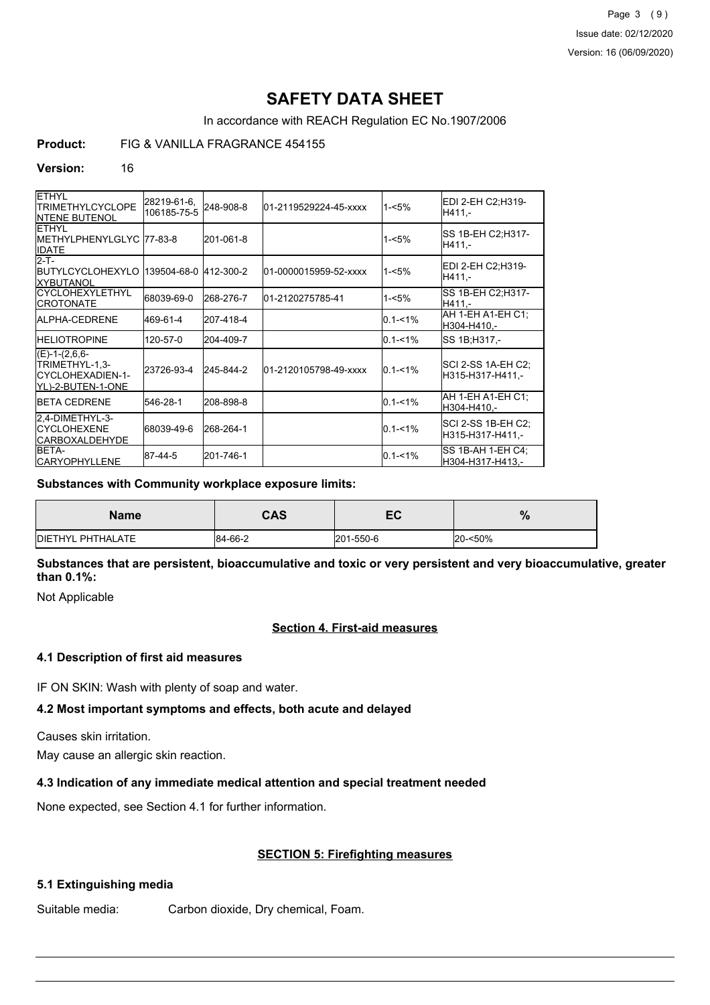Page 3 (9) Issue date: 02/12/2020 Version: 16 (06/09/2020)

# **SAFETY DATA SHEET**

In accordance with REACH Regulation EC No.1907/2006

# **Product:** FIG & VANILLA FRAGRANCE 454155

#### **Version:** 16

| <b>ETHYL</b><br><b>TRIMETHYLCYCLOPE</b><br><b>INTENE BUTENOL</b>             | 28219-61-6,<br>106185-75-5 | 248-908-8 | 01-2119529224-45-xxxx | $1 - 5%$    | EDI 2-EH C2:H319-<br>H411.-             |
|------------------------------------------------------------------------------|----------------------------|-----------|-----------------------|-------------|-----------------------------------------|
| <b>ETHYL</b><br>METHYLPHENYLGLYC 77-83-8<br><b>IDATE</b>                     |                            | 201-061-8 |                       | $1 - 5%$    | <b>SS 1B-EH C2:H317-</b><br>H411.-      |
| $2-T-$<br><b>IBUTYLCYCLOHEXYLO</b><br><b>IXYBUTANOL</b>                      | 139504-68-0 412-300-2      |           | 01-0000015959-52-xxxx | $1 - 5%$    | EDI 2-EH C2:H319-<br>H411.-             |
| <b>ICYCLOHEXYLETHYL</b><br><b>CROTONATE</b>                                  | 68039-69-0                 | 268-276-7 | 01-2120275785-41      | $1 - 5%$    | SS 1B-EH C2:H317-<br>H411.-             |
| <b>IALPHA-CEDRENE</b>                                                        | 469-61-4                   | 207-418-4 |                       | $0.1 - 1%$  | AH 1-EH A1-EH C1:<br>H304-H410,-        |
| <b>HELIOTROPINE</b>                                                          | 120-57-0                   | 204-409-7 |                       | $0.1 - 1\%$ | SS 1B; H317,-                           |
| $(E)-1-(2,6,6-$<br>TRIMETHYL-1,3-<br>ICYCLOHEXADIEN-1-<br>IYL)-2-BUTEN-1-ONE | 23726-93-4                 | 245-844-2 | 01-2120105798-49-xxxx | $0.1 - 1\%$ | SCI 2-SS 1A-EH C2;<br>H315-H317-H411.-  |
| <b>IBETA CEDRENE</b>                                                         | 546-28-1                   | 208-898-8 |                       | $0.1 - 1%$  | AH 1-EH A1-EH C1:<br>H304-H410,-        |
| 2.4-DIMETHYL-3-<br><b>ICYCLOHEXENE</b><br><b>CARBOXALDEHYDE</b>              | 68039-49-6                 | 268-264-1 |                       | $0.1 - 1\%$ | SCI 2-SS 1B-EH C2;<br>H315-H317-H411,-  |
| <b>IBETA-</b><br><b>CARYOPHYLLENE</b>                                        | 87-44-5                    | 201-746-1 |                       | $0.1 - 1%$  | ISS 1B-AH 1-EH C4:<br>lH304-H317-H413.- |

#### **Substances with Community workplace exposure limits:**

| <b>Name</b>               | <b>CAS</b> | -0<br>cc  | $\mathbf{0}$<br>70 |
|---------------------------|------------|-----------|--------------------|
| <b>IDIETHYL PHTHALATE</b> | 84-66-2    | 201-550-6 | 20-<50%            |

**Substances that are persistent, bioaccumulative and toxic or very persistent and very bioaccumulative, greater than 0.1%:**

Not Applicable

### **Section 4. First-aid measures**

### **4.1 Description of first aid measures**

IF ON SKIN: Wash with plenty of soap and water.

## **4.2 Most important symptoms and effects, both acute and delayed**

Causes skin irritation.

May cause an allergic skin reaction.

### **4.3 Indication of any immediate medical attention and special treatment needed**

None expected, see Section 4.1 for further information.

# **SECTION 5: Firefighting measures**

### **5.1 Extinguishing media**

Suitable media: Carbon dioxide, Dry chemical, Foam.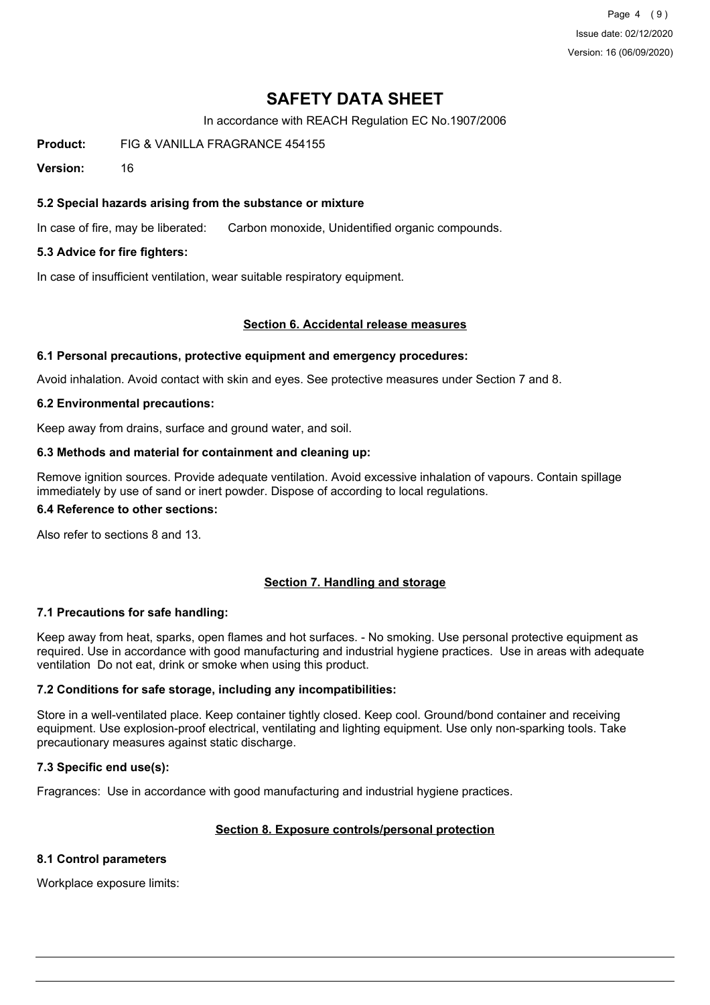Page 4 (9) Issue date: 02/12/2020 Version: 16 (06/09/2020)

# **SAFETY DATA SHEET**

In accordance with REACH Regulation EC No.1907/2006

**Product:** FIG & VANILLA FRAGRANCE 454155

**Version:** 16

## **5.2 Special hazards arising from the substance or mixture**

In case of fire, may be liberated: Carbon monoxide, Unidentified organic compounds.

### **5.3 Advice for fire fighters:**

In case of insufficient ventilation, wear suitable respiratory equipment.

#### **Section 6. Accidental release measures**

#### **6.1 Personal precautions, protective equipment and emergency procedures:**

Avoid inhalation. Avoid contact with skin and eyes. See protective measures under Section 7 and 8.

#### **6.2 Environmental precautions:**

Keep away from drains, surface and ground water, and soil.

#### **6.3 Methods and material for containment and cleaning up:**

Remove ignition sources. Provide adequate ventilation. Avoid excessive inhalation of vapours. Contain spillage immediately by use of sand or inert powder. Dispose of according to local regulations.

#### **6.4 Reference to other sections:**

Also refer to sections 8 and 13.

### **Section 7. Handling and storage**

### **7.1 Precautions for safe handling:**

Keep away from heat, sparks, open flames and hot surfaces. - No smoking. Use personal protective equipment as required. Use in accordance with good manufacturing and industrial hygiene practices. Use in areas with adequate ventilation Do not eat, drink or smoke when using this product.

### **7.2 Conditions for safe storage, including any incompatibilities:**

Store in a well-ventilated place. Keep container tightly closed. Keep cool. Ground/bond container and receiving equipment. Use explosion-proof electrical, ventilating and lighting equipment. Use only non-sparking tools. Take precautionary measures against static discharge.

### **7.3 Specific end use(s):**

Fragrances: Use in accordance with good manufacturing and industrial hygiene practices.

### **Section 8. Exposure controls/personal protection**

#### **8.1 Control parameters**

Workplace exposure limits: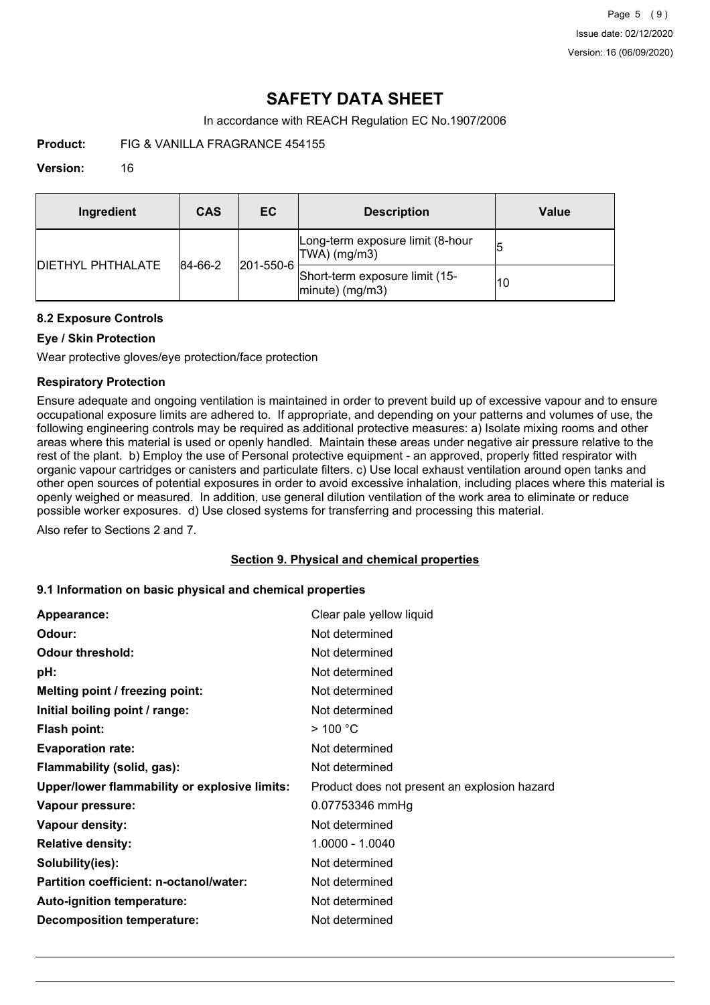In accordance with REACH Regulation EC No.1907/2006

**Product:** FIG & VANILLA FRAGRANCE 454155

## **Version:** 16

| Ingredient                | CAS     | EC.               | <b>Description</b>                                   | Value |
|---------------------------|---------|-------------------|------------------------------------------------------|-------|
| <b>IDIETHYL PHTHALATE</b> | 84-66-2 | $ 201 - 550 - 6 $ | Long-term exposure limit (8-hour<br>TWA) (mg/m3)     | 15    |
|                           |         |                   | Short-term exposure limit (15-<br>$ minute)$ (mg/m3) | 10    |

### **8.2 Exposure Controls**

# **Eye / Skin Protection**

Wear protective gloves/eye protection/face protection

## **Respiratory Protection**

Ensure adequate and ongoing ventilation is maintained in order to prevent build up of excessive vapour and to ensure occupational exposure limits are adhered to. If appropriate, and depending on your patterns and volumes of use, the following engineering controls may be required as additional protective measures: a) Isolate mixing rooms and other areas where this material is used or openly handled. Maintain these areas under negative air pressure relative to the rest of the plant. b) Employ the use of Personal protective equipment - an approved, properly fitted respirator with organic vapour cartridges or canisters and particulate filters. c) Use local exhaust ventilation around open tanks and other open sources of potential exposures in order to avoid excessive inhalation, including places where this material is openly weighed or measured. In addition, use general dilution ventilation of the work area to eliminate or reduce possible worker exposures. d) Use closed systems for transferring and processing this material.

Also refer to Sections 2 and 7.

### **Section 9. Physical and chemical properties**

### **9.1 Information on basic physical and chemical properties**

| Appearance:                                   | Clear pale yellow liquid                     |
|-----------------------------------------------|----------------------------------------------|
| Odour:                                        | Not determined                               |
| <b>Odour threshold:</b>                       | Not determined                               |
| pH:                                           | Not determined                               |
| Melting point / freezing point:               | Not determined                               |
| Initial boiling point / range:                | Not determined                               |
| <b>Flash point:</b>                           | $>$ 100 °C                                   |
| <b>Evaporation rate:</b>                      | Not determined                               |
| Flammability (solid, gas):                    | Not determined                               |
| Upper/lower flammability or explosive limits: | Product does not present an explosion hazard |
| Vapour pressure:                              | 0.07753346 mmHg                              |
| Vapour density:                               | Not determined                               |
| <b>Relative density:</b>                      | 1.0000 - 1.0040                              |
| Solubility(ies):                              | Not determined                               |
| Partition coefficient: n-octanol/water:       | Not determined                               |
| Auto-ignition temperature:                    | Not determined                               |
| <b>Decomposition temperature:</b>             | Not determined                               |
|                                               |                                              |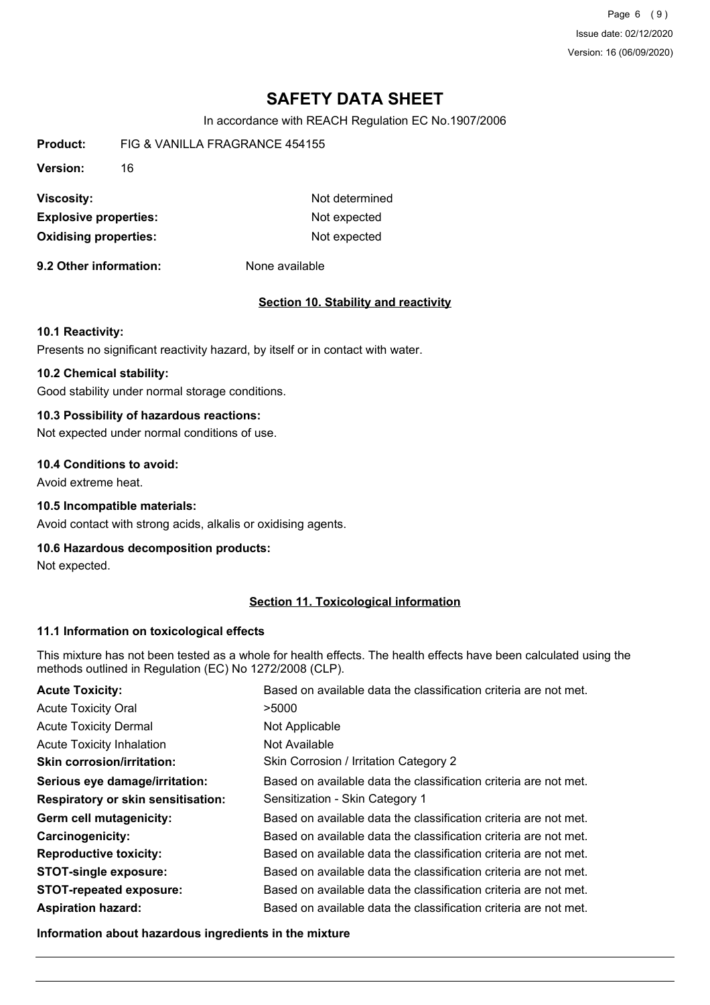Page 6 (9) Issue date: 02/12/2020 Version: 16 (06/09/2020)

# **SAFETY DATA SHEET**

In accordance with REACH Regulation EC No.1907/2006

**Product:** FIG & VANILLA FRAGRANCE 454155 **Version:** 16 **Viscosity:** Not determined **Explosive properties:** Not expected **Oxidising properties:** Not expected

**9.2 Other information:** None available

#### **Section 10. Stability and reactivity**

#### **10.1 Reactivity:**

Presents no significant reactivity hazard, by itself or in contact with water.

## **10.2 Chemical stability:**

Good stability under normal storage conditions.

# **10.3 Possibility of hazardous reactions:**

Not expected under normal conditions of use.

#### **10.4 Conditions to avoid:**

Avoid extreme heat.

#### **10.5 Incompatible materials:**

Avoid contact with strong acids, alkalis or oxidising agents.

## **10.6 Hazardous decomposition products:**

Not expected.

## **Section 11. Toxicological information**

#### **11.1 Information on toxicological effects**

This mixture has not been tested as a whole for health effects. The health effects have been calculated using the methods outlined in Regulation (EC) No 1272/2008 (CLP).

| <b>Acute Toxicity:</b>                    | Based on available data the classification criteria are not met. |
|-------------------------------------------|------------------------------------------------------------------|
| <b>Acute Toxicity Oral</b>                | >5000                                                            |
| <b>Acute Toxicity Dermal</b>              | Not Applicable                                                   |
| <b>Acute Toxicity Inhalation</b>          | Not Available                                                    |
| <b>Skin corrosion/irritation:</b>         | Skin Corrosion / Irritation Category 2                           |
| Serious eye damage/irritation:            | Based on available data the classification criteria are not met. |
| <b>Respiratory or skin sensitisation:</b> | Sensitization - Skin Category 1                                  |
| Germ cell mutagenicity:                   | Based on available data the classification criteria are not met. |
| <b>Carcinogenicity:</b>                   | Based on available data the classification criteria are not met. |
| <b>Reproductive toxicity:</b>             | Based on available data the classification criteria are not met. |
| <b>STOT-single exposure:</b>              | Based on available data the classification criteria are not met. |
| <b>STOT-repeated exposure:</b>            | Based on available data the classification criteria are not met. |
| <b>Aspiration hazard:</b>                 | Based on available data the classification criteria are not met. |

**Information about hazardous ingredients in the mixture**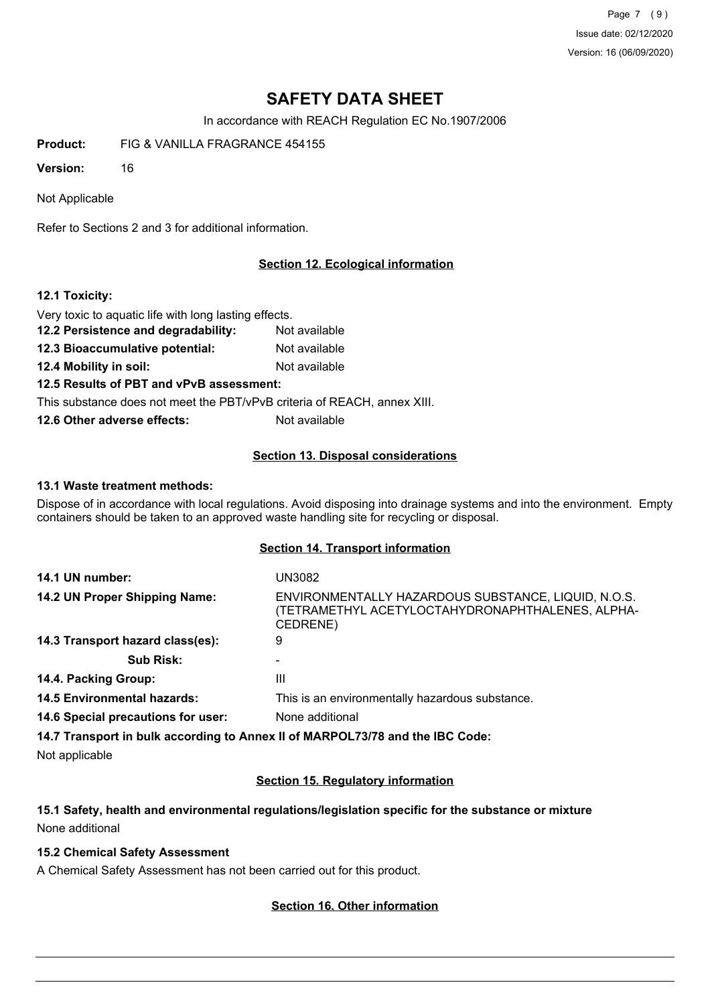Page 7 (9) Issue date: 02/12/2020 Version: 16 (06/09/2020)

# **SAFETY DATA SHEET**

In accordance with REACH Regulation EC No.1907/2006

**Product:** FIG & VANILLA FRAGRANCE 454155

**Version:** 16

Not Applicable

Refer to Sections 2 and 3 for additional information.

## **Section 12. Ecological information**

### **12.1 Toxicity:**

Very toxic to aquatic life with long lasting effects.

- **12.2 Persistence and degradability:** Not available
- **12.3 Bioaccumulative potential:** Not available
- **12.4 Mobility in soil:** Not available

### **12.5 Results of PBT and vPvB assessment:**

This substance does not meet the PBT/vPvB criteria of REACH, annex XIII.

**12.6 Other adverse effects:** Not available

### **Section 13. Disposal considerations**

#### **13.1 Waste treatment methods:**

Dispose of in accordance with local regulations. Avoid disposing into drainage systems and into the environment. Empty containers should be taken to an approved waste handling site for recycling or disposal.

## **Section 14. Transport information**

| 14.1 UN number:                    | UN3082                                                                                                              |
|------------------------------------|---------------------------------------------------------------------------------------------------------------------|
| 14.2 UN Proper Shipping Name:      | ENVIRONMENTALLY HAZARDOUS SUBSTANCE, LIQUID, N.O.S.<br>(TETRAMETHYL ACETYLOCTAHYDRONAPHTHALENES, ALPHA-<br>CEDRENE) |
| 14.3 Transport hazard class(es):   | 9                                                                                                                   |
| <b>Sub Risk:</b>                   |                                                                                                                     |
| 14.4. Packing Group:               | Ш                                                                                                                   |
| <b>14.5 Environmental hazards:</b> | This is an environmentally hazardous substance.                                                                     |
| 14.6 Special precautions for user: | None additional                                                                                                     |
|                                    |                                                                                                                     |

**14.7 Transport in bulk according to Annex II of MARPOL73/78 and the IBC Code:**

Not applicable

### **Section 15. Regulatory information**

# **15.1 Safety, health and environmental regulations/legislation specific for the substance or mixture** None additional

### **15.2 Chemical Safety Assessment**

A Chemical Safety Assessment has not been carried out for this product.

### **Section 16. Other information**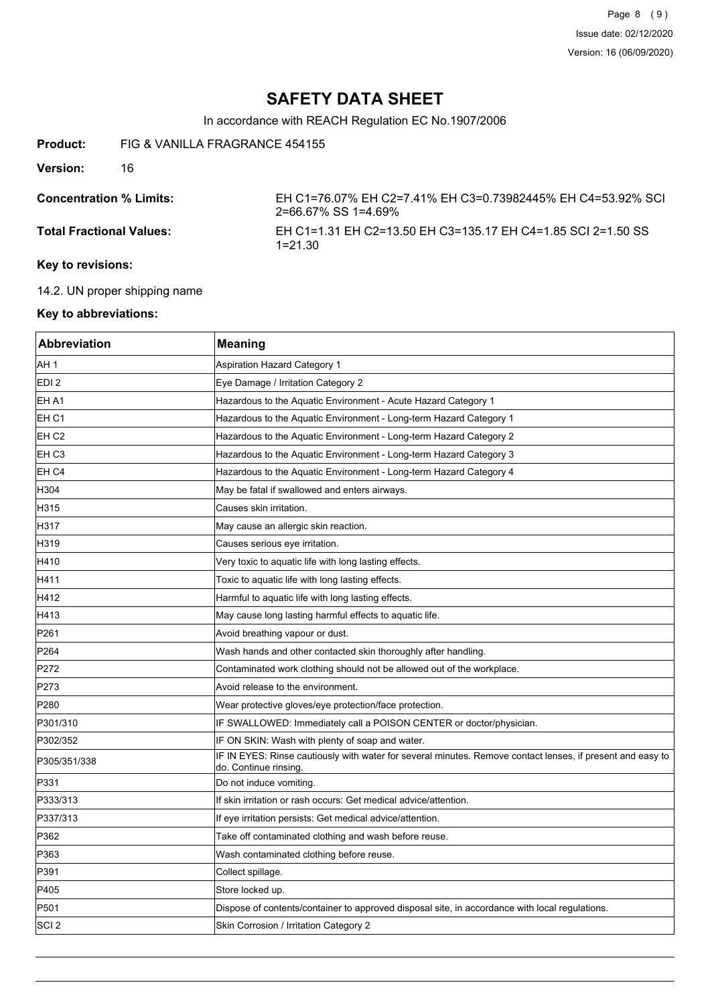In accordance with REACH Regulation EC No.1907/2006

**Product:** FIG & VANILLA FRAGRANCE 454155

**Version:** 16

**Concentration % Limits:** EH C1=76.07% EH C2=7.41% EH C3=0.73982445% EH C4=53.92% SCI 2=66.67% SS 1=4.69% **Total Fractional Values:** EH C1=1.31 EH C2=13.50 EH C3=135.17 EH C4=1.85 SCI 2=1.50 SS 1=21.30

## **Key to revisions:**

14.2. UN proper shipping name

## **Key to abbreviations:**

| Abbreviation     | <b>Meaning</b>                                                                                                                     |
|------------------|------------------------------------------------------------------------------------------------------------------------------------|
| AH 1             | Aspiration Hazard Category 1                                                                                                       |
| EDI <sub>2</sub> | Eye Damage / Irritation Category 2                                                                                                 |
| EH A1            | Hazardous to the Aquatic Environment - Acute Hazard Category 1                                                                     |
| EH C1            | Hazardous to the Aquatic Environment - Long-term Hazard Category 1                                                                 |
| EH C2            | Hazardous to the Aquatic Environment - Long-term Hazard Category 2                                                                 |
| EH C3            | Hazardous to the Aquatic Environment - Long-term Hazard Category 3                                                                 |
| EH C4            | Hazardous to the Aquatic Environment - Long-term Hazard Category 4                                                                 |
| H304             | May be fatal if swallowed and enters airways.                                                                                      |
| H315             | Causes skin irritation.                                                                                                            |
| H317             | May cause an allergic skin reaction.                                                                                               |
| H319             | Causes serious eye irritation.                                                                                                     |
| H410             | Very toxic to aquatic life with long lasting effects.                                                                              |
| H411             | Toxic to aquatic life with long lasting effects.                                                                                   |
| H412             | Harmful to aquatic life with long lasting effects.                                                                                 |
| H413             | May cause long lasting harmful effects to aquatic life.                                                                            |
| P261             | Avoid breathing vapour or dust.                                                                                                    |
| P264             | Wash hands and other contacted skin thoroughly after handling.                                                                     |
| P272             | Contaminated work clothing should not be allowed out of the workplace.                                                             |
| P273             | Avoid release to the environment.                                                                                                  |
| P280             | Wear protective gloves/eye protection/face protection.                                                                             |
| P301/310         | IF SWALLOWED: Immediately call a POISON CENTER or doctor/physician.                                                                |
| P302/352         | IF ON SKIN: Wash with plenty of soap and water.                                                                                    |
| P305/351/338     | IF IN EYES: Rinse cautiously with water for several minutes. Remove contact lenses, if present and easy to<br>do. Continue rinsing |
| P331             | Do not induce vomiting.                                                                                                            |
| P333/313         | If skin irritation or rash occurs: Get medical advice/attention.                                                                   |
| P337/313         | If eye irritation persists: Get medical advice/attention.                                                                          |
| P362             | Take off contaminated clothing and wash before reuse.                                                                              |
| P363             | Wash contaminated clothing before reuse.                                                                                           |
| P391             | Collect spillage.                                                                                                                  |
| P405             | Store locked up.                                                                                                                   |
| P501             | Dispose of contents/container to approved disposal site, in accordance with local regulations.                                     |
| ISCI 2           | Skin Corrosion / Irritation Category 2                                                                                             |